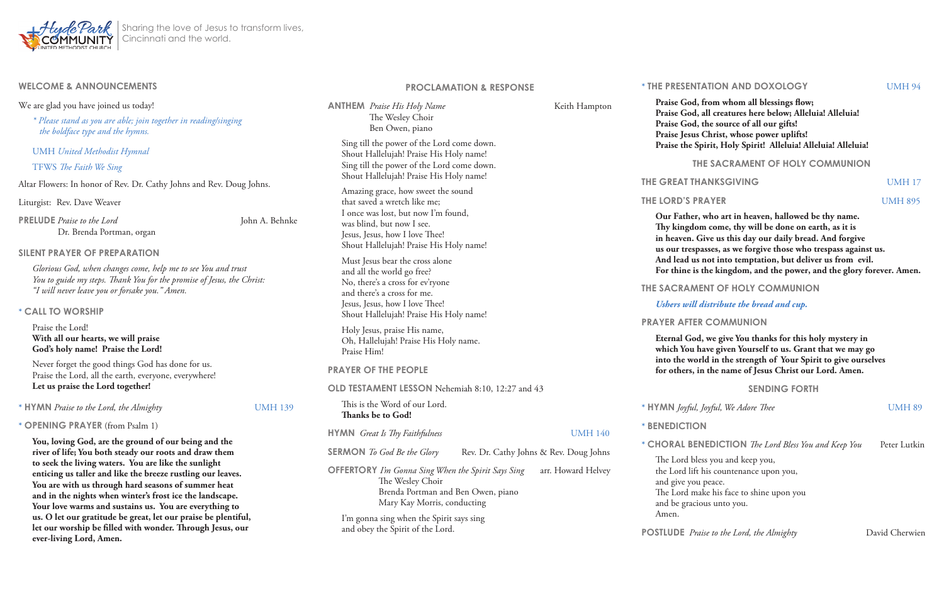

| <b>WELCOME &amp; ANNOUNCEMENTS</b>                                                                                                                                                                                                                                                                                                                                                                                                                                                   |                | <b>PROCLAMATION &amp; RESPONSE</b>                                                                                                                                                                                   |                                                 |
|--------------------------------------------------------------------------------------------------------------------------------------------------------------------------------------------------------------------------------------------------------------------------------------------------------------------------------------------------------------------------------------------------------------------------------------------------------------------------------------|----------------|----------------------------------------------------------------------------------------------------------------------------------------------------------------------------------------------------------------------|-------------------------------------------------|
| We are glad you have joined us today!<br>* Please stand as you are able; join together in reading/singing<br>the boldface type and the hymns.                                                                                                                                                                                                                                                                                                                                        |                | <b>ANTHEM</b> Praise His Holy Name<br>Keith Hampton<br>The Wesley Choir<br>Ben Owen, piano                                                                                                                           | Praise<br>Praise<br>Praise<br>Praise            |
| <b>UMH</b> United Methodist Hymnal<br>TFWS The Faith We Sing<br>Altar Flowers: In honor of Rev. Dr. Cathy Johns and Rev. Doug Johns.                                                                                                                                                                                                                                                                                                                                                 |                | Sing till the power of the Lord come down.<br>Shout Hallelujah! Praise His Holy name!<br>Sing till the power of the Lord come down.<br>Shout Hallelujah! Praise His Holy name!<br>Amazing grace, how sweet the sound | Praise                                          |
|                                                                                                                                                                                                                                                                                                                                                                                                                                                                                      |                |                                                                                                                                                                                                                      | <b>THE GREA</b>                                 |
| Liturgist: Rev. Dave Weaver                                                                                                                                                                                                                                                                                                                                                                                                                                                          |                | that saved a wretch like me;<br>I once was lost, but now I'm found,<br>was blind, but now I see.<br>Jesus, Jesus, how I love Thee!<br>Shout Hallelujah! Praise His Holy name!<br>Must Jesus bear the cross alone     | <b>THE LORD</b>                                 |
| <b>PRELUDE</b> Praise to the Lord<br>Dr. Brenda Portman, organ                                                                                                                                                                                                                                                                                                                                                                                                                       | John A. Behnke |                                                                                                                                                                                                                      | Our Fa<br>Thy ki<br>in heav                     |
| <b>SILENT PRAYER OF PREPARATION</b>                                                                                                                                                                                                                                                                                                                                                                                                                                                  |                |                                                                                                                                                                                                                      | us our<br>And le                                |
| Glorious God, when changes come, help me to see You and trust                                                                                                                                                                                                                                                                                                                                                                                                                        |                | and all the world go free?                                                                                                                                                                                           | For thi                                         |
| You to guide my steps. Thank You for the promise of Jesus, the Christ:<br>"I will never leave you or forsake you." Amen.                                                                                                                                                                                                                                                                                                                                                             |                | No, there's a cross for ev'ryone<br>and there's a cross for me.                                                                                                                                                      | <b>THE SACI</b>                                 |
| * CALL TO WORSHIP                                                                                                                                                                                                                                                                                                                                                                                                                                                                    |                | Jesus, Jesus, how I love Thee!                                                                                                                                                                                       | <b>Ushers</b>                                   |
| Praise the Lord!<br>With all our hearts, we will praise<br>God's holy name! Praise the Lord!                                                                                                                                                                                                                                                                                                                                                                                         |                | Shout Hallelujah! Praise His Holy name!<br>Holy Jesus, praise His name,<br>Oh, Hallelujah! Praise His Holy name.<br>Praise Him!                                                                                      | <b>PRAYER</b><br>Eterna<br>which                |
| Never forget the good things God has done for us.<br>Praise the Lord, all the earth, everyone, everywhere!<br>Let us praise the Lord together!                                                                                                                                                                                                                                                                                                                                       |                | <b>PRAYER OF THE PEOPLE</b>                                                                                                                                                                                          | into th<br>for oth                              |
|                                                                                                                                                                                                                                                                                                                                                                                                                                                                                      |                | OLD TESTAMENT LESSON Nehemiah 8:10, 12:27 and 43                                                                                                                                                                     |                                                 |
| * HYMN Praise to the Lord, the Almighty                                                                                                                                                                                                                                                                                                                                                                                                                                              | <b>UMH 139</b> | This is the Word of our Lord.<br>Thanks be to God!                                                                                                                                                                   | * HYMN /                                        |
| * OPENING PRAYER (from Psalm 1)                                                                                                                                                                                                                                                                                                                                                                                                                                                      |                | <b>UMH 140</b><br><b>HYMN</b> Great Is Thy Faithfulness                                                                                                                                                              | * BENEDI                                        |
| You, loving God, are the ground of our being and the<br>river of life; You both steady our roots and draw them<br>to seek the living waters. You are like the sunlight<br>enticing us taller and like the breeze rustling our leaves.<br>You are with us through hard seasons of summer heat<br>and in the nights when winter's frost ice the landscape.<br>Your love warms and sustains us. You are everything to<br>us. O let our gratitude be great, let our praise be plentiful, |                | <b>SERMON</b> To God Be the Glory<br>Rev. Dr. Cathy Johns & Rev. Doug Johns                                                                                                                                          | * CHORA<br>The Lo                               |
|                                                                                                                                                                                                                                                                                                                                                                                                                                                                                      |                | <b>OFFERTORY</b> I'm Gonna Sing When the Spirit Says Sing<br>arr. Howard Helvey<br>The Wesley Choir<br>Brenda Portman and Ben Owen, piano<br>Mary Kay Morris, conducting<br>I'm gonna sing when the Spirit says sing | the Lor<br>and giv<br>The Lo<br>and be<br>Amen. |
| let our worship be filled with wonder. Through Jesus, our<br>ever-living Lord, Amen.                                                                                                                                                                                                                                                                                                                                                                                                 |                | and obey the Spirit of the Lord.                                                                                                                                                                                     | <b>POSTLUD</b>                                  |

#### **PRESENTATION AND DOXOLOGY** UMH 94

**Praise God, from whom all blessings flow; Praise God, all creatures here below; Alleluia! Alleluia! Praise God, the source of all our gifts! Praise Jesus Christ, whose power uplifts! Praise the Spirit, Holy Spirit! Alleluia! Alleluia! Alleluia!**

**THE SACRAMENT OF HOLY COMMUNION**

#### **THE GREAT THANKSGIVING** UMH 17

**THE LORD'S PRAYER CONTROL CONTROL CONTROL CONTROL CONTROL CONTROL CONTROL CONTROL CONTROL CONTROL CONTROL CONTROL** 

**Our Father, who art in heaven, hallowed be thy name. Thy kingdom come, thy will be done on earth, as it is in heaven. Give us this day our daily bread. And forgive us our trespasses, as we forgive those who trespass against us. And lead us not into temptation, but deliver us from evil. For thine is the kingdom, and the power, and the glory forever. Amen.**

**ACRAMENT OF HOLY COMMUNION** 

*Ushers will distribute the bread and cup.* 

*<b>PRAFTER COMMUNION* 

**Eternal God, we give You thanks for this holy mystery in which You have given Yourself to us. Grant that we may go into the world in the strength of Your Spirit to give ourselves for others, in the name of Jesus Christ our Lord. Amen.**

**SENDING FORTH**

**<sup>1</sup>N** *Joyful, Joyful, We Adore Thee* in the set of the UMH 89

 $BDICTION$ 

**FRAL BENEDICTION** *The Lord Bless You and Keep You* Peter Lutkin

e Lord bless you and keep you, the Lord lift his countenance upon you,

give you peace.

e Lord make his face to shine upon you be gracious unto you.

**Passage 19th** *Praise to the Lord, the Almighty* **Passage 3** David Cherwien